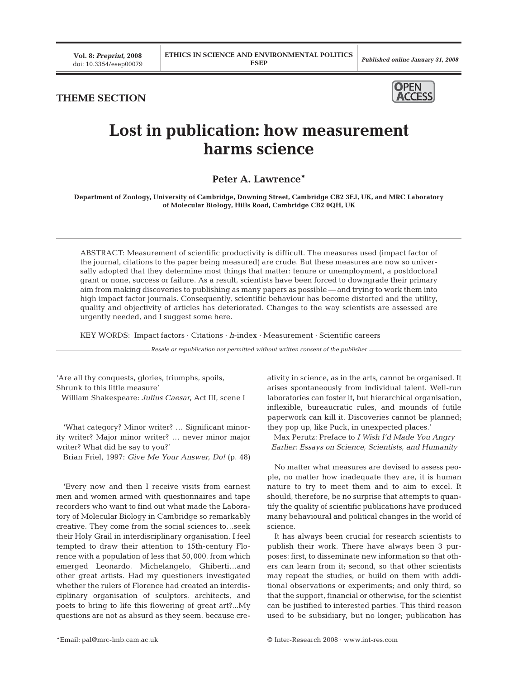## **THEME SECTION**



## **Lost in publication: how measurement harms science**

## **Peter A. Lawrence\***

**Department of Zoology, University of Cambridge, Downing Street, Cambridge CB2 3EJ, UK, and MRC Laboratory of Molecular Biology, Hills Road, Cambridge CB2 0QH, UK**

ABSTRACT: Measurement of scientific productivity is difficult. The measures used (impact factor of the journal, citations to the paper being measured) are crude. But these measures are now so universally adopted that they determine most things that matter: tenure or unemployment, a postdoctoral grant or none, success or failure. As a result, scientists have been forced to downgrade their primary aim from making discoveries to publishing as many papers as possible — and trying to work them into high impact factor journals. Consequently, scientific behaviour has become distorted and the utility, quality and objectivity of articles has deteriorated. Changes to the way scientists are assessed are urgently needed, and I suggest some here.

KEY WORDS: Impact factors · Citations · *h*-index · Measurement · Scientific careers

*Resale or republication not permitted without written consent of the publisher*

'Are all thy conquests, glories, triumphs, spoils, Shrunk to this little measure' William Shakespeare: *Julius Caesar*, Act III, scene I

'What category? Minor writer? … Significant minority writer? Major minor writer? … never minor major writer? What did he say to you?'

Brian Friel, 1997: *Give Me Your Answer, Do!* (p. 48)

'Every now and then I receive visits from earnest men and women armed with questionnaires and tape recorders who want to find out what made the Laboratory of Molecular Biology in Cambridge so remarkably creative. They come from the social sciences to…seek their Holy Grail in interdisciplinary organisation. I feel tempted to draw their attention to 15th-century Florence with a population of less that 50,000, from which emerged Leonardo, Michelangelo, Ghiberti…and other great artists. Had my questioners investigated whether the rulers of Florence had created an interdisciplinary organisation of sculptors, architects, and poets to bring to life this flowering of great art?...My questions are not as absurd as they seem, because creativity in science, as in the arts, cannot be organised. It arises spontaneously from individual talent. Well-run laboratories can foster it, but hierarchical organisation, inflexible, bureaucratic rules, and mounds of futile paperwork can kill it. Discoveries cannot be planned; they pop up, like Puck, in unexpected places.'

Max Perutz: Preface to *I Wish I'd Made You Angry Earlier: Essays on Science, Scientists, and Humanity*

No matter what measures are devised to assess people, no matter how inadequate they are, it is human nature to try to meet them and to aim to excel. It should, therefore, be no surprise that attempts to quantify the quality of scientific publications have produced many behavioural and political changes in the world of science.

It has always been crucial for research scientists to publish their work. There have always been 3 purposes: first, to disseminate new information so that others can learn from it; second, so that other scientists may repeat the studies, or build on them with additional observations or experiments; and only third, so that the support, financial or otherwise, for the scientist can be justified to interested parties. This third reason used to be subsidiary, but no longer; publication has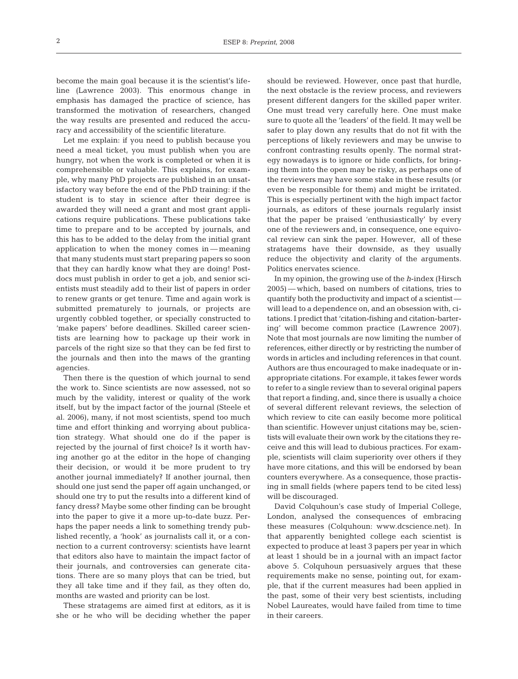become the main goal because it is the scientist's lifeline (Lawrence 2003). This enormous change in emphasis has damaged the practice of science, has transformed the motivation of researchers, changed the way results are presented and reduced the accuracy and accessibility of the scientific literature.

Let me explain: if you need to publish because you need a meal ticket, you must publish when you are hungry, not when the work is completed or when it is comprehensible or valuable. This explains, for example, why many PhD projects are published in an unsatisfactory way before the end of the PhD training: if the student is to stay in science after their degree is awarded they will need a grant and most grant applications require publications. These publications take time to prepare and to be accepted by journals, and this has to be added to the delay from the initial grant application to when the money comes in — meaning that many students must start preparing papers so soon that they can hardly know what they are doing! Postdocs must publish in order to get a job, and senior scientists must steadily add to their list of papers in order to renew grants or get tenure. Time and again work is submitted prematurely to journals, or projects are urgently cobbled together, or specially constructed to 'make papers' before deadlines. Skilled career scientists are learning how to package up their work in parcels of the right size so that they can be fed first to the journals and then into the maws of the granting agencies.

Then there is the question of which journal to send the work to. Since scientists are now assessed, not so much by the validity, interest or quality of the work itself, but by the impact factor of the journal (Steele et al. 2006), many, if not most scientists, spend too much time and effort thinking and worrying about publication strategy. What should one do if the paper is rejected by the journal of first choice? Is it worth having another go at the editor in the hope of changing their decision, or would it be more prudent to try another journal immediately? If another journal, then should one just send the paper off again unchanged, or should one try to put the results into a different kind of fancy dress? Maybe some other finding can be brought into the paper to give it a more up-to-date buzz. Perhaps the paper needs a link to something trendy published recently, a 'hook' as journalists call it, or a connection to a current controversy: scientists have learnt that editors also have to maintain the impact factor of their journals, and controversies can generate citations. There are so many ploys that can be tried, but they all take time and if they fail, as they often do, months are wasted and priority can be lost.

These stratagems are aimed first at editors, as it is she or he who will be deciding whether the paper should be reviewed. However, once past that hurdle, the next obstacle is the review process, and reviewers present different dangers for the skilled paper writer. One must tread very carefully here. One must make sure to quote all the 'leaders' of the field. It may well be safer to play down any results that do not fit with the perceptions of likely reviewers and may be unwise to confront contrasting results openly. The normal strategy nowadays is to ignore or hide conflicts, for bringing them into the open may be risky, as perhaps one of the reviewers may have some stake in these results (or even be responsible for them) and might be irritated. This is especially pertinent with the high impact factor journals, as editors of these journals regularly insist that the paper be praised 'enthusiastically' by every one of the reviewers and, in consequence, one equivocal review can sink the paper. However, all of these stratagems have their downside, as they usually reduce the objectivity and clarity of the arguments. Politics enervates science.

In my opinion, the growing use of the *h*-index (Hirsch 2005) — which, based on numbers of citations, tries to quantify both the productivity and impact of a scientist will lead to a dependence on, and an obsession with, citations. I predict that 'citation-fishing and citation-bartering' will become common practice (Lawrence 2007). Note that most journals are now limiting the number of references, either directly or by restricting the number of words in articles and including references in that count. Authors are thus encouraged to make inadequate or inappropriate citations. For example, it takes fewer words to refer to a single review than to several original papers that report a finding, and, since there is usually a choice of several different relevant reviews, the selection of which review to cite can easily become more political than scientific. However unjust citations may be, scientists will evaluate their own work by the citations they receive and this will lead to dubious practices. For example, scientists will claim superiority over others if they have more citations, and this will be endorsed by bean counters everywhere. As a consequence, those practising in small fields (where papers tend to be cited less) will be discouraged.

David Colquhoun's case study of Imperial College, London, analysed the consequences of embracing these measures (Colquhoun: www.dcscience.net). In that apparently benighted college each scientist is expected to produce at least 3 papers per year in which at least 1 should be in a journal with an impact factor above 5. Colquhoun persuasively argues that these requirements make no sense, pointing out, for example, that if the current measures had been applied in the past, some of their very best scientists, including Nobel Laureates, would have failed from time to time in their careers.